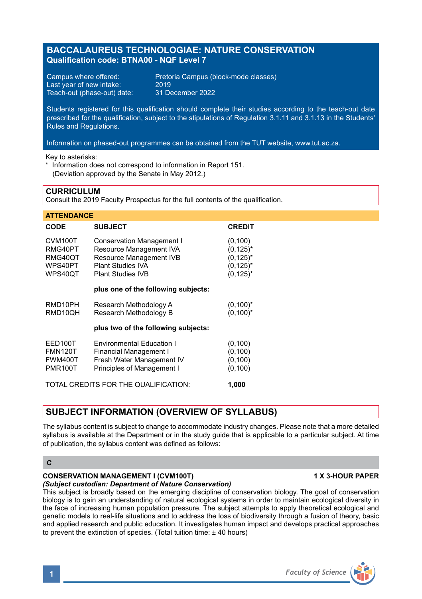# **BACCALAUREUS TECHNOLOGIAE: NATURE CONSERVATION Qualification code: BTNA00 - NQF Level 7**

Last year of new intake: 2019<br>Teach-out (phase-out) date: 31 December 2022 Teach-out (phase-out) date:

Campus where offered: Pretoria Campus (block-mode classes)

Students registered for this qualification should complete their studies according to the teach-out date prescribed for the qualification, subject to the stipulations of Regulation 3.1.11 and 3.1.13 in the Students' Rules and Regulations.

Information on phased-out programmes can be obtained from the TUT website, www.tut.ac.za.

Key to asterisks:

Information does not correspond to information in Report 151 (Deviation approved by the Senate in May 2012.)

## **CURRICULUM**

Consult the 2019 Faculty Prospectus for the full contents of the qualification.

| <b>ATTENDANCE</b>                                                |                                                                                                                                         |                                                                          |
|------------------------------------------------------------------|-----------------------------------------------------------------------------------------------------------------------------------------|--------------------------------------------------------------------------|
| <b>CODE</b>                                                      | <b>SUBJECT</b>                                                                                                                          | <b>CREDIT</b>                                                            |
| CVM <sub>100</sub> T<br>RMG40PT<br>RMG40QT<br>WPS40PT<br>WPS40QT | <b>Conservation Management I</b><br>Resource Management IVA<br>Resource Management IVB<br>Plant Studies IVA<br><b>Plant Studies IVB</b> | (0, 100)<br>$(0, 125)^*$<br>$(0, 125)^*$<br>$(0, 125)^*$<br>$(0, 125)^*$ |
|                                                                  | plus one of the following subjects:                                                                                                     |                                                                          |
| RMD10PH<br>RMD10OH                                               | Research Methodology A<br>Research Methodology B                                                                                        | $(0,100)^*$<br>$(0,100)^*$                                               |
|                                                                  | plus two of the following subjects:                                                                                                     |                                                                          |
| EED100T<br><b>FMN120T</b><br><b>FWM400T</b><br><b>PMR100T</b>    | <b>Environmental Education I</b><br><b>Financial Management I</b><br>Fresh Water Management IV<br>Principles of Management I            | (0, 100)<br>(0, 100)<br>(0, 100)<br>(0, 100)                             |
| TOTAL CREDITS FOR THE QUALIFICATION:<br>1,000                    |                                                                                                                                         |                                                                          |

# **SUBJECT INFORMATION (OVERVIEW OF SYLLABUS)**

The syllabus content is subject to change to accommodate industry changes. Please note that a more detailed syllabus is available at the Department or in the study guide that is applicable to a particular subject. At time of publication, the syllabus content was defined as follows:

**C**

# **CONSERVATION MANAGEMENT I (CVM100T) 1 X 3-HOUR PAPER**

*(Subject custodian: Department of Nature Conservation)*

This subject is broadly based on the emerging discipline of conservation biology. The goal of conservation biology is to gain an understanding of natural ecological systems in order to maintain ecological diversity in the face of increasing human population pressure. The subject attempts to apply theoretical ecological and genetic models to real-life situations and to address the loss of biodiversity through a fusion of theory, basic and applied research and public education. It investigates human impact and develops practical approaches to prevent the extinction of species. (Total tuition time: ± 40 hours)

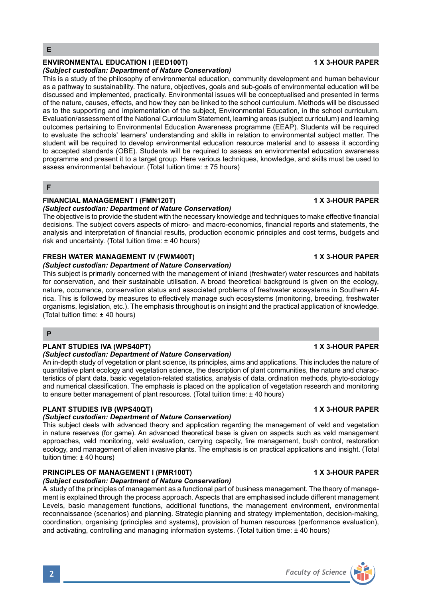# **ENVIRONMENTAL EDUCATION I (EED100T) 1 X 3-HOUR PAPER**

## *(Subject custodian: Department of Nature Conservation)*

This is a study of the philosophy of environmental education, community development and human behaviour as a pathway to sustainability. The nature, objectives, goals and sub-goals of environmental education will be discussed and implemented, practically. Environmental issues will be conceptualised and presented in terms of the nature, causes, effects, and how they can be linked to the school curriculum. Methods will be discussed as to the supporting and implementation of the subject, Environmental Education, in the school curriculum. Evaluation/assessment of the National Curriculum Statement, learning areas (subject curriculum) and learning outcomes pertaining to Environmental Education Awareness programme (EEAP). Students will be required to evaluate the schools' learners' understanding and skills in relation to environmental subject matter. The student will be required to develop environmental education resource material and to assess it according to accepted standards (OBE). Students will be required to assess an environmental education awareness programme and present it to a target group. Here various techniques, knowledge, and skills must be used to assess environmental behaviour. (Total tuition time: ± 75 hours)

#### **F**

## **FINANCIAL MANAGEMENT I (FMN120T) 1 X 3-HOUR PAPER**

### *(Subject custodian: Department of Nature Conservation)*

The objective is to provide the student with the necessary knowledge and techniques to make effective financial decisions. The subject covers aspects of micro- and macro-economics, financial reports and statements, the analysis and interpretation of financial results, production economic principles and cost terms, budgets and risk and uncertainty. (Total tuition time: ± 40 hours)

### **FRESH WATER MANAGEMENT IV (FWM400T) 1 X 3-HOUR PAPER**

#### *(Subject custodian: Department of Nature Conservation)*

This subject is primarily concerned with the management of inland (freshwater) water resources and habitats for conservation, and their sustainable utilisation. A broad theoretical background is given on the ecology, nature, occurrence, conservation status and associated problems of freshwater ecosystems in Southern Africa. This is followed by measures to effectively manage such ecosystems (monitoring, breeding, freshwater organisms, legislation, etc.). The emphasis throughout is on insight and the practical application of knowledge. (Total tuition time: ± 40 hours)

### **P**

### **PLANT STUDIES IVA (WPS40PT) 1 X 3-HOUR PAPER**

### *(Subject custodian: Department of Nature Conservation)*

An in-depth study of vegetation or plant science, its principles, aims and applications. This includes the nature of quantitative plant ecology and vegetation science, the description of plant communities, the nature and characteristics of plant data, basic vegetation-related statistics, analysis of data, ordination methods, phyto-sociology and numerical classification. The emphasis is placed on the application of vegetation research and monitoring to ensure better management of plant resources. (Total tuition time: ± 40 hours)

### **PLANT STUDIES IVB (WPS40QT) 1 X 3-HOUR PAPER**

### *(Subject custodian: Department of Nature Conservation)*

This subject deals with advanced theory and application regarding the management of veld and vegetation in nature reserves (for game). An advanced theoretical base is given on aspects such as veld management approaches, veld monitoring, veld evaluation, carrying capacity, fire management, bush control, restoration ecology, and management of alien invasive plants. The emphasis is on practical applications and insight. (Total tuition time: ± 40 hours)

#### **PRINCIPLES OF MANAGEMENT I (PMR100T) 1 X 3-HOUR PAPER** *(Subject custodian: Department of Nature Conservation)*

### A study of the principles of management as a functional part of business management. The theory of management is explained through the process approach. Aspects that are emphasised include different management Levels, basic management functions, additional functions, the management environment, environmental reconnaissance (scenarios) and planning. Strategic planning and strategy implementation, decision-making, coordination, organising (principles and systems), provision of human resources (performance evaluation), and activating, controlling and managing information systems. (Total tuition time:  $\pm 40$  hours)